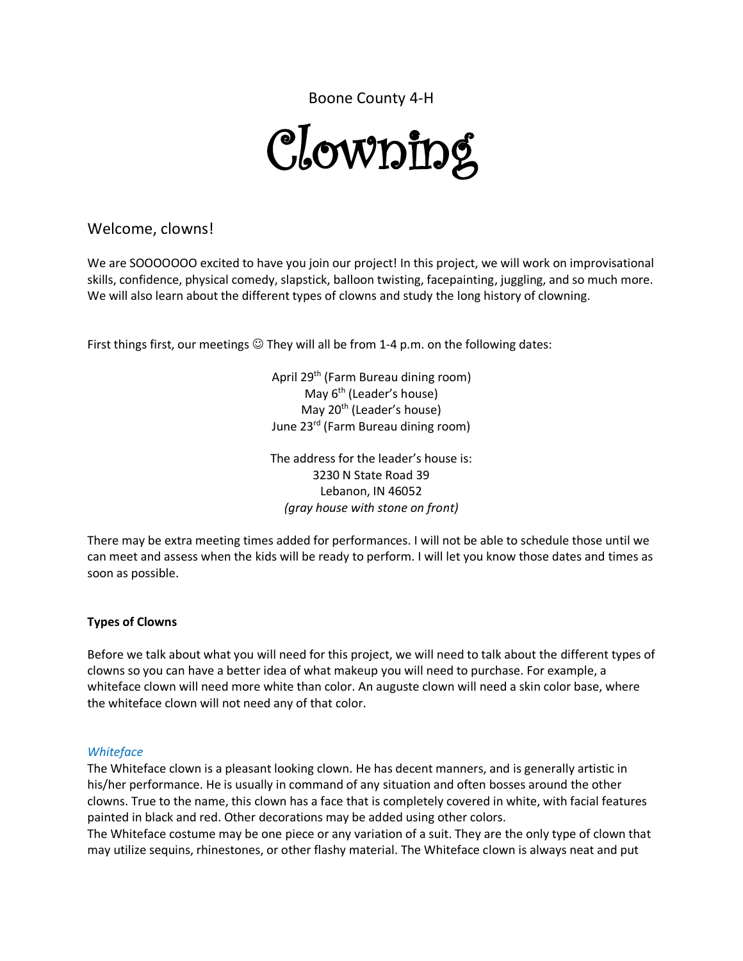Boone County 4-H

# Clowning

## Welcome, clowns!

We are SOOOOOOO excited to have you join our project! In this project, we will work on improvisational skills, confidence, physical comedy, slapstick, balloon twisting, facepainting, juggling, and so much more. We will also learn about the different types of clowns and study the long history of clowning.

First things first, our meetings  $\odot$  They will all be from 1-4 p.m. on the following dates:

April 29<sup>th</sup> (Farm Bureau dining room) May  $6<sup>th</sup>$  (Leader's house) May 20<sup>th</sup> (Leader's house) June 23rd (Farm Bureau dining room)

The address for the leader's house is: 3230 N State Road 39 Lebanon, IN 46052 *(gray house with stone on front)*

There may be extra meeting times added for performances. I will not be able to schedule those until we can meet and assess when the kids will be ready to perform. I will let you know those dates and times as soon as possible.

### **Types of Clowns**

Before we talk about what you will need for this project, we will need to talk about the different types of clowns so you can have a better idea of what makeup you will need to purchase. For example, a whiteface clown will need more white than color. An auguste clown will need a skin color base, where the whiteface clown will not need any of that color.

#### *Whiteface*

The Whiteface clown is a pleasant looking clown. He has decent manners, and is generally artistic in his/her performance. He is usually in command of any situation and often bosses around the other clowns. True to the name, this clown has a face that is completely covered in white, with facial features painted in black and red. Other decorations may be added using other colors.

The Whiteface costume may be one piece or any variation of a suit. They are the only type of clown that may utilize sequins, rhinestones, or other flashy material. The Whiteface clown is always neat and put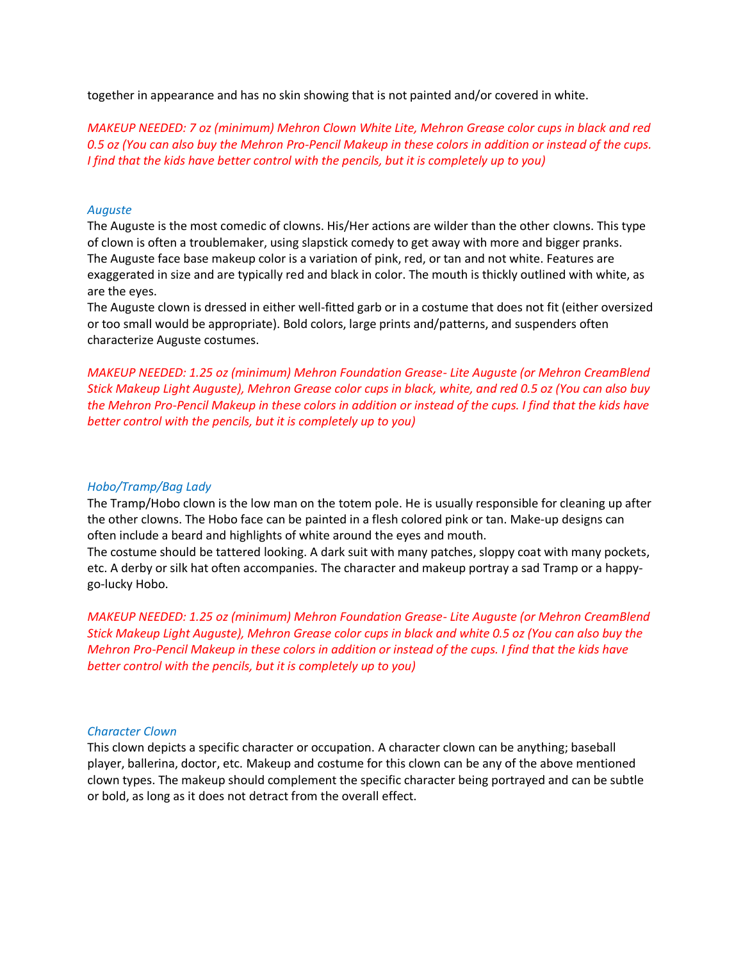together in appearance and has no skin showing that is not painted and/or covered in white.

*MAKEUP NEEDED: 7 oz (minimum) Mehron Clown White Lite, Mehron Grease color cups in black and red 0.5 oz (You can also buy the Mehron Pro-Pencil Makeup in these colors in addition or instead of the cups. I find that the kids have better control with the pencils, but it is completely up to you)*

#### *Auguste*

The Auguste is the most comedic of clowns. His/Her actions are wilder than the other clowns. This type of clown is often a troublemaker, using slapstick comedy to get away with more and bigger pranks. The Auguste face base makeup color is a variation of pink, red, or tan and not white. Features are exaggerated in size and are typically red and black in color. The mouth is thickly outlined with white, as are the eyes.

The Auguste clown is dressed in either well‐fitted garb or in a costume that does not fit (either oversized or too small would be appropriate). Bold colors, large prints and/patterns, and suspenders often characterize Auguste costumes.

*MAKEUP NEEDED: 1.25 oz (minimum) Mehron Foundation Grease- Lite Auguste (or Mehron CreamBlend Stick Makeup Light Auguste), Mehron Grease color cups in black, white, and red 0.5 oz (You can also buy the Mehron Pro-Pencil Makeup in these colors in addition or instead of the cups. I find that the kids have better control with the pencils, but it is completely up to you)*

#### *Hobo/Tramp/Bag Lady*

The Tramp/Hobo clown is the low man on the totem pole. He is usually responsible for cleaning up after the other clowns. The Hobo face can be painted in a flesh colored pink or tan. Make-up designs can often include a beard and highlights of white around the eyes and mouth.

The costume should be tattered looking. A dark suit with many patches, sloppy coat with many pockets, etc. A derby or silk hat often accompanies. The character and makeup portray a sad Tramp or a happy‐ go‐lucky Hobo.

*MAKEUP NEEDED: 1.25 oz (minimum) Mehron Foundation Grease- Lite Auguste (or Mehron CreamBlend Stick Makeup Light Auguste), Mehron Grease color cups in black and white 0.5 oz (You can also buy the Mehron Pro-Pencil Makeup in these colors in addition or instead of the cups. I find that the kids have better control with the pencils, but it is completely up to you)*

#### *Character Clown*

This clown depicts a specific character or occupation. A character clown can be anything; baseball player, ballerina, doctor, etc. Makeup and costume for this clown can be any of the above mentioned clown types. The makeup should complement the specific character being portrayed and can be subtle or bold, as long as it does not detract from the overall effect.